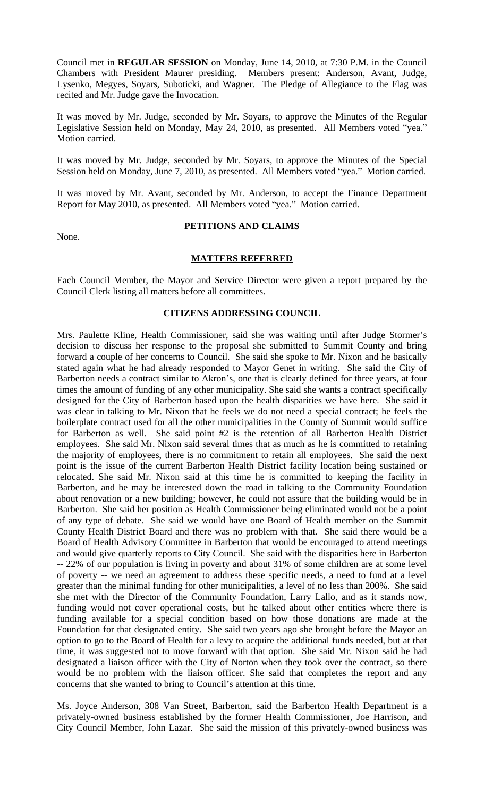Council met in **REGULAR SESSION** on Monday, June 14, 2010, at 7:30 P.M. in the Council Chambers with President Maurer presiding. Members present: Anderson, Avant, Judge, Lysenko, Megyes, Soyars, Suboticki, and Wagner. The Pledge of Allegiance to the Flag was recited and Mr. Judge gave the Invocation.

It was moved by Mr. Judge, seconded by Mr. Soyars, to approve the Minutes of the Regular Legislative Session held on Monday, May 24, 2010, as presented. All Members voted "yea." Motion carried.

It was moved by Mr. Judge, seconded by Mr. Soyars, to approve the Minutes of the Special Session held on Monday, June 7, 2010, as presented. All Members voted "yea." Motion carried.

It was moved by Mr. Avant, seconded by Mr. Anderson, to accept the Finance Department Report for May 2010, as presented. All Members voted "yea." Motion carried.

None.

# **PETITIONS AND CLAIMS**

#### **MATTERS REFERRED**

Each Council Member, the Mayor and Service Director were given a report prepared by the Council Clerk listing all matters before all committees.

# **CITIZENS ADDRESSING COUNCIL**

Mrs. Paulette Kline, Health Commissioner, said she was waiting until after Judge Stormer's decision to discuss her response to the proposal she submitted to Summit County and bring forward a couple of her concerns to Council. She said she spoke to Mr. Nixon and he basically stated again what he had already responded to Mayor Genet in writing. She said the City of Barberton needs a contract similar to Akron's, one that is clearly defined for three years, at four times the amount of funding of any other municipality. She said she wants a contract specifically designed for the City of Barberton based upon the health disparities we have here. She said it was clear in talking to Mr. Nixon that he feels we do not need a special contract; he feels the boilerplate contract used for all the other municipalities in the County of Summit would suffice for Barberton as well. She said point #2 is the retention of all Barberton Health District employees. She said Mr. Nixon said several times that as much as he is committed to retaining the majority of employees, there is no commitment to retain all employees. She said the next point is the issue of the current Barberton Health District facility location being sustained or relocated. She said Mr. Nixon said at this time he is committed to keeping the facility in Barberton, and he may be interested down the road in talking to the Community Foundation about renovation or a new building; however, he could not assure that the building would be in Barberton. She said her position as Health Commissioner being eliminated would not be a point of any type of debate. She said we would have one Board of Health member on the Summit County Health District Board and there was no problem with that. She said there would be a Board of Health Advisory Committee in Barberton that would be encouraged to attend meetings and would give quarterly reports to City Council. She said with the disparities here in Barberton -- 22% of our population is living in poverty and about 31% of some children are at some level of poverty -- we need an agreement to address these specific needs, a need to fund at a level greater than the minimal funding for other municipalities, a level of no less than 200%. She said she met with the Director of the Community Foundation, Larry Lallo, and as it stands now, funding would not cover operational costs, but he talked about other entities where there is funding available for a special condition based on how those donations are made at the Foundation for that designated entity. She said two years ago she brought before the Mayor an option to go to the Board of Health for a levy to acquire the additional funds needed, but at that time, it was suggested not to move forward with that option. She said Mr. Nixon said he had designated a liaison officer with the City of Norton when they took over the contract, so there would be no problem with the liaison officer. She said that completes the report and any concerns that she wanted to bring to Council's attention at this time.

Ms. Joyce Anderson, 308 Van Street, Barberton, said the Barberton Health Department is a privately-owned business established by the former Health Commissioner, Joe Harrison, and City Council Member, John Lazar. She said the mission of this privately-owned business was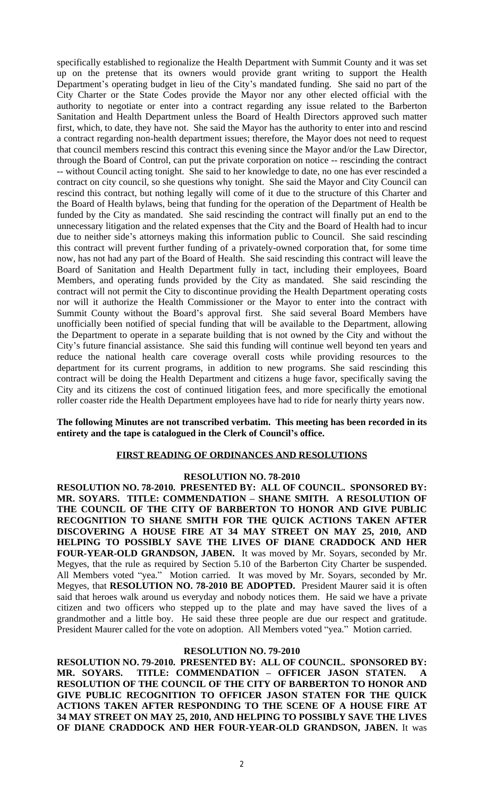specifically established to regionalize the Health Department with Summit County and it was set up on the pretense that its owners would provide grant writing to support the Health Department's operating budget in lieu of the City's mandated funding. She said no part of the City Charter or the State Codes provide the Mayor nor any other elected official with the authority to negotiate or enter into a contract regarding any issue related to the Barberton Sanitation and Health Department unless the Board of Health Directors approved such matter first, which, to date, they have not. She said the Mayor has the authority to enter into and rescind a contract regarding non-health department issues; therefore, the Mayor does not need to request that council members rescind this contract this evening since the Mayor and/or the Law Director, through the Board of Control, can put the private corporation on notice -- rescinding the contract -- without Council acting tonight. She said to her knowledge to date, no one has ever rescinded a contract on city council, so she questions why tonight. She said the Mayor and City Council can rescind this contract, but nothing legally will come of it due to the structure of this Charter and the Board of Health bylaws, being that funding for the operation of the Department of Health be funded by the City as mandated. She said rescinding the contract will finally put an end to the unnecessary litigation and the related expenses that the City and the Board of Health had to incur due to neither side's attorneys making this information public to Council. She said rescinding this contract will prevent further funding of a privately-owned corporation that, for some time now, has not had any part of the Board of Health. She said rescinding this contract will leave the Board of Sanitation and Health Department fully in tact, including their employees, Board Members, and operating funds provided by the City as mandated. She said rescinding the contract will not permit the City to discontinue providing the Health Department operating costs nor will it authorize the Health Commissioner or the Mayor to enter into the contract with Summit County without the Board's approval first. She said several Board Members have unofficially been notified of special funding that will be available to the Department, allowing the Department to operate in a separate building that is not owned by the City and without the City's future financial assistance. She said this funding will continue well beyond ten years and reduce the national health care coverage overall costs while providing resources to the department for its current programs, in addition to new programs. She said rescinding this contract will be doing the Health Department and citizens a huge favor, specifically saving the City and its citizens the cost of continued litigation fees, and more specifically the emotional roller coaster ride the Health Department employees have had to ride for nearly thirty years now.

# **The following Minutes are not transcribed verbatim. This meeting has been recorded in its entirety and the tape is catalogued in the Clerk of Council's office.**

## **FIRST READING OF ORDINANCES AND RESOLUTIONS**

## **RESOLUTION NO. 78-2010**

**RESOLUTION NO. 78-2010. PRESENTED BY: ALL OF COUNCIL. SPONSORED BY: MR. SOYARS. TITLE: COMMENDATION – SHANE SMITH. A RESOLUTION OF THE COUNCIL OF THE CITY OF BARBERTON TO HONOR AND GIVE PUBLIC RECOGNITION TO SHANE SMITH FOR THE QUICK ACTIONS TAKEN AFTER DISCOVERING A HOUSE FIRE AT 34 MAY STREET ON MAY 25, 2010, AND HELPING TO POSSIBLY SAVE THE LIVES OF DIANE CRADDOCK AND HER FOUR-YEAR-OLD GRANDSON, JABEN.** It was moved by Mr. Soyars, seconded by Mr. Megyes, that the rule as required by Section 5.10 of the Barberton City Charter be suspended. All Members voted "yea." Motion carried. It was moved by Mr. Soyars, seconded by Mr. Megyes, that **RESOLUTION NO. 78-2010 BE ADOPTED.** President Maurer said it is often said that heroes walk around us everyday and nobody notices them. He said we have a private citizen and two officers who stepped up to the plate and may have saved the lives of a grandmother and a little boy. He said these three people are due our respect and gratitude. President Maurer called for the vote on adoption. All Members voted "yea." Motion carried.

# **RESOLUTION NO. 79-2010**

**RESOLUTION NO. 79-2010. PRESENTED BY: ALL OF COUNCIL. SPONSORED BY: MR. SOYARS. TITLE: COMMENDATION – OFFICER JASON STATEN. A RESOLUTION OF THE COUNCIL OF THE CITY OF BARBERTON TO HONOR AND GIVE PUBLIC RECOGNITION TO OFFICER JASON STATEN FOR THE QUICK ACTIONS TAKEN AFTER RESPONDING TO THE SCENE OF A HOUSE FIRE AT 34 MAY STREET ON MAY 25, 2010, AND HELPING TO POSSIBLY SAVE THE LIVES OF DIANE CRADDOCK AND HER FOUR-YEAR-OLD GRANDSON, JABEN.** It was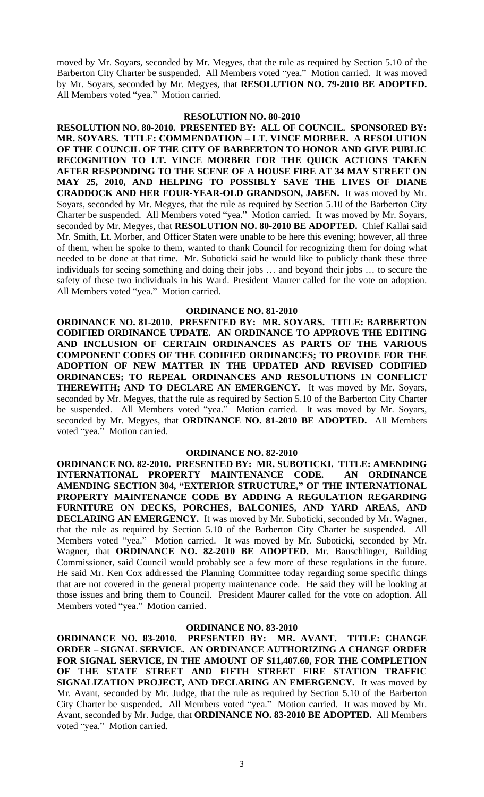moved by Mr. Soyars, seconded by Mr. Megyes, that the rule as required by Section 5.10 of the Barberton City Charter be suspended. All Members voted "yea." Motion carried. It was moved by Mr. Soyars, seconded by Mr. Megyes, that **RESOLUTION NO. 79-2010 BE ADOPTED.** All Members voted "yea." Motion carried.

#### **RESOLUTION NO. 80-2010**

**RESOLUTION NO. 80-2010. PRESENTED BY: ALL OF COUNCIL. SPONSORED BY: MR. SOYARS. TITLE: COMMENDATION – LT. VINCE MORBER. A RESOLUTION OF THE COUNCIL OF THE CITY OF BARBERTON TO HONOR AND GIVE PUBLIC RECOGNITION TO LT. VINCE MORBER FOR THE QUICK ACTIONS TAKEN AFTER RESPONDING TO THE SCENE OF A HOUSE FIRE AT 34 MAY STREET ON MAY 25, 2010, AND HELPING TO POSSIBLY SAVE THE LIVES OF DIANE CRADDOCK AND HER FOUR-YEAR-OLD GRANDSON, JABEN.** It was moved by Mr. Soyars, seconded by Mr. Megyes, that the rule as required by Section 5.10 of the Barberton City Charter be suspended. All Members voted "yea." Motion carried. It was moved by Mr. Soyars, seconded by Mr. Megyes, that **RESOLUTION NO. 80-2010 BE ADOPTED.** Chief Kallai said Mr. Smith, Lt. Morber, and Officer Staten were unable to be here this evening; however, all three of them, when he spoke to them, wanted to thank Council for recognizing them for doing what needed to be done at that time. Mr. Suboticki said he would like to publicly thank these three individuals for seeing something and doing their jobs … and beyond their jobs … to secure the safety of these two individuals in his Ward. President Maurer called for the vote on adoption. All Members voted "yea." Motion carried.

#### **ORDINANCE NO. 81-2010**

**ORDINANCE NO. 81-2010. PRESENTED BY: MR. SOYARS. TITLE: BARBERTON CODIFIED ORDINANCE UPDATE. AN ORDINANCE TO APPROVE THE EDITING AND INCLUSION OF CERTAIN ORDINANCES AS PARTS OF THE VARIOUS COMPONENT CODES OF THE CODIFIED ORDINANCES; TO PROVIDE FOR THE ADOPTION OF NEW MATTER IN THE UPDATED AND REVISED CODIFIED ORDINANCES; TO REPEAL ORDINANCES AND RESOLUTIONS IN CONFLICT THEREWITH; AND TO DECLARE AN EMERGENCY.** It was moved by Mr. Soyars, seconded by Mr. Megyes, that the rule as required by Section 5.10 of the Barberton City Charter be suspended. All Members voted "yea." Motion carried. It was moved by Mr. Soyars, seconded by Mr. Megyes, that **ORDINANCE NO. 81-2010 BE ADOPTED.** All Members voted "yea." Motion carried.

#### **ORDINANCE NO. 82-2010**

**ORDINANCE NO. 82-2010. PRESENTED BY: MR. SUBOTICKI. TITLE: AMENDING INTERNATIONAL PROPERTY MAINTENANCE CODE. AN ORDINANCE AMENDING SECTION 304, "EXTERIOR STRUCTURE," OF THE INTERNATIONAL PROPERTY MAINTENANCE CODE BY ADDING A REGULATION REGARDING FURNITURE ON DECKS, PORCHES, BALCONIES, AND YARD AREAS, AND DECLARING AN EMERGENCY.** It was moved by Mr. Suboticki, seconded by Mr. Wagner, that the rule as required by Section 5.10 of the Barberton City Charter be suspended. All Members voted "yea." Motion carried. It was moved by Mr. Suboticki, seconded by Mr. Wagner, that **ORDINANCE NO. 82-2010 BE ADOPTED.** Mr. Bauschlinger, Building Commissioner, said Council would probably see a few more of these regulations in the future. He said Mr. Ken Cox addressed the Planning Committee today regarding some specific things that are not covered in the general property maintenance code. He said they will be looking at those issues and bring them to Council. President Maurer called for the vote on adoption. All Members voted "yea." Motion carried.

#### **ORDINANCE NO. 83-2010**

**ORDINANCE NO. 83-2010. PRESENTED BY: MR. AVANT. TITLE: CHANGE ORDER – SIGNAL SERVICE. AN ORDINANCE AUTHORIZING A CHANGE ORDER FOR SIGNAL SERVICE, IN THE AMOUNT OF \$11,407.60, FOR THE COMPLETION OF THE STATE STREET AND FIFTH STREET FIRE STATION TRAFFIC SIGNALIZATION PROJECT, AND DECLARING AN EMERGENCY.** It was moved by Mr. Avant, seconded by Mr. Judge, that the rule as required by Section 5.10 of the Barberton City Charter be suspended. All Members voted "yea." Motion carried. It was moved by Mr. Avant, seconded by Mr. Judge, that **ORDINANCE NO. 83-2010 BE ADOPTED.** All Members voted "yea." Motion carried.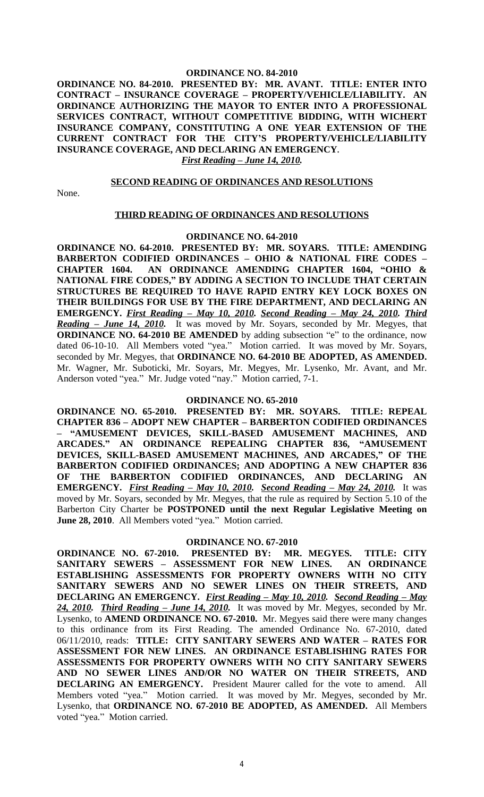# **ORDINANCE NO. 84-2010**

**ORDINANCE NO. 84-2010. PRESENTED BY: MR. AVANT. TITLE: ENTER INTO CONTRACT – INSURANCE COVERAGE – PROPERTY/VEHICLE/LIABILITY. AN ORDINANCE AUTHORIZING THE MAYOR TO ENTER INTO A PROFESSIONAL SERVICES CONTRACT, WITHOUT COMPETITIVE BIDDING, WITH WICHERT INSURANCE COMPANY, CONSTITUTING A ONE YEAR EXTENSION OF THE CURRENT CONTRACT FOR THE CITY'S PROPERTY/VEHICLE/LIABILITY INSURANCE COVERAGE, AND DECLARING AN EMERGENCY.**

# *First Reading – June 14, 2010.*

# **SECOND READING OF ORDINANCES AND RESOLUTIONS**

None.

#### **THIRD READING OF ORDINANCES AND RESOLUTIONS**

#### **ORDINANCE NO. 64-2010**

**ORDINANCE NO. 64-2010. PRESENTED BY: MR. SOYARS. TITLE: AMENDING BARBERTON CODIFIED ORDINANCES – OHIO & NATIONAL FIRE CODES – CHAPTER 1604. AN ORDINANCE AMENDING CHAPTER 1604, "OHIO & NATIONAL FIRE CODES," BY ADDING A SECTION TO INCLUDE THAT CERTAIN STRUCTURES BE REQUIRED TO HAVE RAPID ENTRY KEY LOCK BOXES ON THEIR BUILDINGS FOR USE BY THE FIRE DEPARTMENT, AND DECLARING AN EMERGENCY.** *First Reading – May 10, 2010. Second Reading – May 24, 2010. Third Reading – June 14, 2010.* It was moved by Mr. Soyars, seconded by Mr. Megyes, that **ORDINANCE NO. 64-2010 BE AMENDED** by adding subsection "e" to the ordinance, now dated 06-10-10. All Members voted "yea." Motion carried. It was moved by Mr. Soyars, seconded by Mr. Megyes, that **ORDINANCE NO. 64-2010 BE ADOPTED, AS AMENDED.** Mr. Wagner, Mr. Suboticki, Mr. Soyars, Mr. Megyes, Mr. Lysenko, Mr. Avant, and Mr. Anderson voted "yea." Mr. Judge voted "nay." Motion carried, 7-1.

#### **ORDINANCE NO. 65-2010**

**ORDINANCE NO. 65-2010. PRESENTED BY: MR. SOYARS. TITLE: REPEAL CHAPTER 836 – ADOPT NEW CHAPTER – BARBERTON CODIFIED ORDINANCES – "AMUSEMENT DEVICES, SKILL-BASED AMUSEMENT MACHINES, AND ARCADES." AN ORDINANCE REPEALING CHAPTER 836, "AMUSEMENT DEVICES, SKILL-BASED AMUSEMENT MACHINES, AND ARCADES," OF THE BARBERTON CODIFIED ORDINANCES; AND ADOPTING A NEW CHAPTER 836 OF THE BARBERTON CODIFIED ORDINANCES, AND DECLARING AN EMERGENCY.** *First Reading – May 10, 2010. Second Reading – May 24, 2010.* It was moved by Mr. Soyars, seconded by Mr. Megyes, that the rule as required by Section 5.10 of the Barberton City Charter be **POSTPONED until the next Regular Legislative Meeting on** June 28, 2010. All Members voted "yea." Motion carried.

#### **ORDINANCE NO. 67-2010**

**ORDINANCE NO. 67-2010. PRESENTED BY: MR. MEGYES. TITLE: CITY SANITARY SEWERS – ASSESSMENT FOR NEW LINES. AN ORDINANCE ESTABLISHING ASSESSMENTS FOR PROPERTY OWNERS WITH NO CITY SANITARY SEWERS AND NO SEWER LINES ON THEIR STREETS, AND DECLARING AN EMERGENCY.** *First Reading – May 10, 2010. Second Reading – May 24, 2010. Third Reading – June 14, 2010.* It was moved by Mr. Megyes, seconded by Mr. Lysenko, to **AMEND ORDINANCE NO. 67-2010.** Mr. Megyes said there were many changes to this ordinance from its First Reading. The amended Ordinance No. 67-2010, dated 06/11/2010, reads: **TITLE: CITY SANITARY SEWERS AND WATER – RATES FOR ASSESSMENT FOR NEW LINES. AN ORDINANCE ESTABLISHING RATES FOR ASSESSMENTS FOR PROPERTY OWNERS WITH NO CITY SANITARY SEWERS AND NO SEWER LINES AND/OR NO WATER ON THEIR STREETS, AND DECLARING AN EMERGENCY.** President Maurer called for the vote to amend. All Members voted "yea." Motion carried. It was moved by Mr. Megyes, seconded by Mr. Lysenko, that **ORDINANCE NO. 67-2010 BE ADOPTED, AS AMENDED.** All Members voted "yea." Motion carried.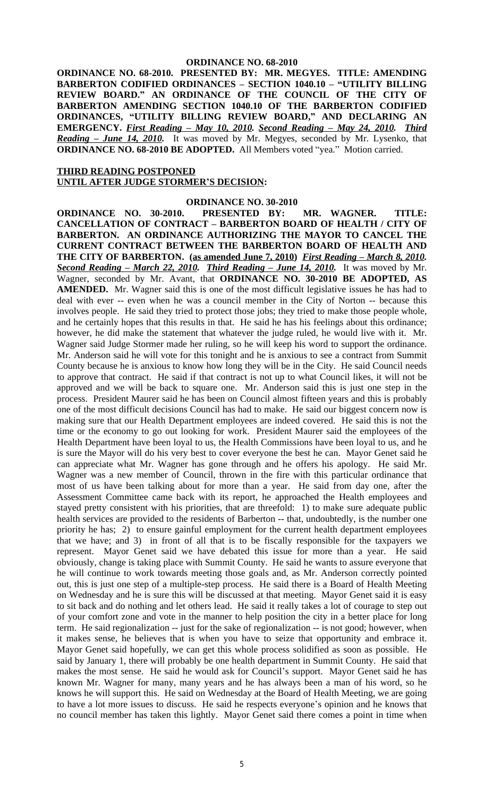**ORDINANCE NO. 68-2010. PRESENTED BY: MR. MEGYES. TITLE: AMENDING BARBERTON CODIFIED ORDINANCES – SECTION 1040.10 – "UTILITY BILLING REVIEW BOARD." AN ORDINANCE OF THE COUNCIL OF THE CITY OF BARBERTON AMENDING SECTION 1040.10 OF THE BARBERTON CODIFIED ORDINANCES, "UTILITY BILLING REVIEW BOARD," AND DECLARING AN EMERGENCY.** *First Reading – May 10, 2010. Second Reading – May 24, 2010. Third Reading – June 14, 2010.* It was moved by Mr. Megyes, seconded by Mr. Lysenko, that **ORDINANCE NO. 68-2010 BE ADOPTED.** All Members voted "yea." Motion carried.

# **THIRD READING POSTPONED**

# **UNTIL AFTER JUDGE STORMER'S DECISION:**

#### **ORDINANCE NO. 30-2010**

**ORDINANCE NO. 30-2010. PRESENTED BY: MR. WAGNER. TITLE: CANCELLATION OF CONTRACT – BARBERTON BOARD OF HEALTH / CITY OF BARBERTON. AN ORDINANCE AUTHORIZING THE MAYOR TO CANCEL THE CURRENT CONTRACT BETWEEN THE BARBERTON BOARD OF HEALTH AND THE CITY OF BARBERTON. (as amended June 7, 2010)** *First Reading – March 8, 2010. Second Reading – March 22, 2010. Third Reading – June 14, 2010.* It was moved by Mr. Wagner, seconded by Mr. Avant, that **ORDINANCE NO. 30-2010 BE ADOPTED, AS AMENDED.** Mr. Wagner said this is one of the most difficult legislative issues he has had to deal with ever -- even when he was a council member in the City of Norton -- because this involves people. He said they tried to protect those jobs; they tried to make those people whole, and he certainly hopes that this results in that. He said he has his feelings about this ordinance; however, he did make the statement that whatever the judge ruled, he would live with it. Mr. Wagner said Judge Stormer made her ruling, so he will keep his word to support the ordinance. Mr. Anderson said he will vote for this tonight and he is anxious to see a contract from Summit County because he is anxious to know how long they will be in the City. He said Council needs to approve that contract. He said if that contract is not up to what Council likes, it will not be approved and we will be back to square one. Mr. Anderson said this is just one step in the process. President Maurer said he has been on Council almost fifteen years and this is probably one of the most difficult decisions Council has had to make. He said our biggest concern now is making sure that our Health Department employees are indeed covered. He said this is not the time or the economy to go out looking for work. President Maurer said the employees of the Health Department have been loyal to us, the Health Commissions have been loyal to us, and he is sure the Mayor will do his very best to cover everyone the best he can. Mayor Genet said he can appreciate what Mr. Wagner has gone through and he offers his apology. He said Mr. Wagner was a new member of Council, thrown in the fire with this particular ordinance that most of us have been talking about for more than a year. He said from day one, after the Assessment Committee came back with its report, he approached the Health employees and stayed pretty consistent with his priorities, that are threefold: 1) to make sure adequate public health services are provided to the residents of Barberton -- that, undoubtedly, is the number one priority he has; 2) to ensure gainful employment for the current health department employees that we have; and 3) in front of all that is to be fiscally responsible for the taxpayers we represent. Mayor Genet said we have debated this issue for more than a year. He said obviously, change is taking place with Summit County. He said he wants to assure everyone that he will continue to work towards meeting those goals and, as Mr. Anderson correctly pointed out, this is just one step of a multiple-step process. He said there is a Board of Health Meeting on Wednesday and he is sure this will be discussed at that meeting. Mayor Genet said it is easy to sit back and do nothing and let others lead. He said it really takes a lot of courage to step out of your comfort zone and vote in the manner to help position the city in a better place for long term. He said regionalization -- just for the sake of regionalization -- is not good; however, when it makes sense, he believes that is when you have to seize that opportunity and embrace it. Mayor Genet said hopefully, we can get this whole process solidified as soon as possible. He said by January 1, there will probably be one health department in Summit County. He said that makes the most sense. He said he would ask for Council's support. Mayor Genet said he has known Mr. Wagner for many, many years and he has always been a man of his word, so he knows he will support this. He said on Wednesday at the Board of Health Meeting, we are going to have a lot more issues to discuss. He said he respects everyone's opinion and he knows that no council member has taken this lightly. Mayor Genet said there comes a point in time when